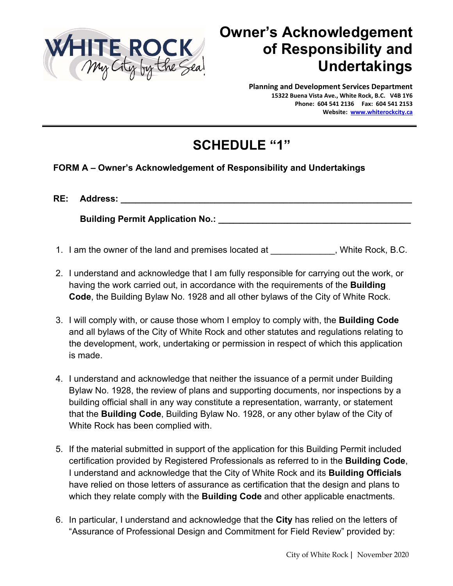

## **Owner's Acknowledgement of Responsibility and Undertakings**

**Planning and Development Services Department 15322 Buena Vista Ave., White Rock, B.C. V4B 1Y6 Phone: 604 541 2136 Fax: 604 541 2153 Website: www.whiterockcity.ca**

## **SCHEDULE "1"**

## **FORM A – Owner's Acknowledgement of Responsibility and Undertakings**

| RE: | <b>Address:</b>                         |  |
|-----|-----------------------------------------|--|
|     | <b>Building Permit Application No.:</b> |  |

- 1. I am the owner of the land and premises located at \_\_\_\_\_\_\_\_\_\_\_\_\_, White Rock, B.C.
- 2. I understand and acknowledge that I am fully responsible for carrying out the work, or having the work carried out, in accordance with the requirements of the **Building Code**, the Building Bylaw No. 1928 and all other bylaws of the City of White Rock.
- 3. I will comply with, or cause those whom I employ to comply with, the **Building Code** and all bylaws of the City of White Rock and other statutes and regulations relating to the development, work, undertaking or permission in respect of which this application is made.
- 4. I understand and acknowledge that neither the issuance of a permit under Building Bylaw No. 1928, the review of plans and supporting documents, nor inspections by a building official shall in any way constitute a representation, warranty, or statement that the **Building Code**, Building Bylaw No. 1928, or any other bylaw of the City of White Rock has been complied with.
- 5. If the material submitted in support of the application for this Building Permit included certification provided by Registered Professionals as referred to in the **Building Code**, I understand and acknowledge that the City of White Rock and its **Building Officials** have relied on those letters of assurance as certification that the design and plans to which they relate comply with the **Building Code** and other applicable enactments.
- 6. In particular, I understand and acknowledge that the **City** has relied on the letters of "Assurance of Professional Design and Commitment for Field Review" provided by: